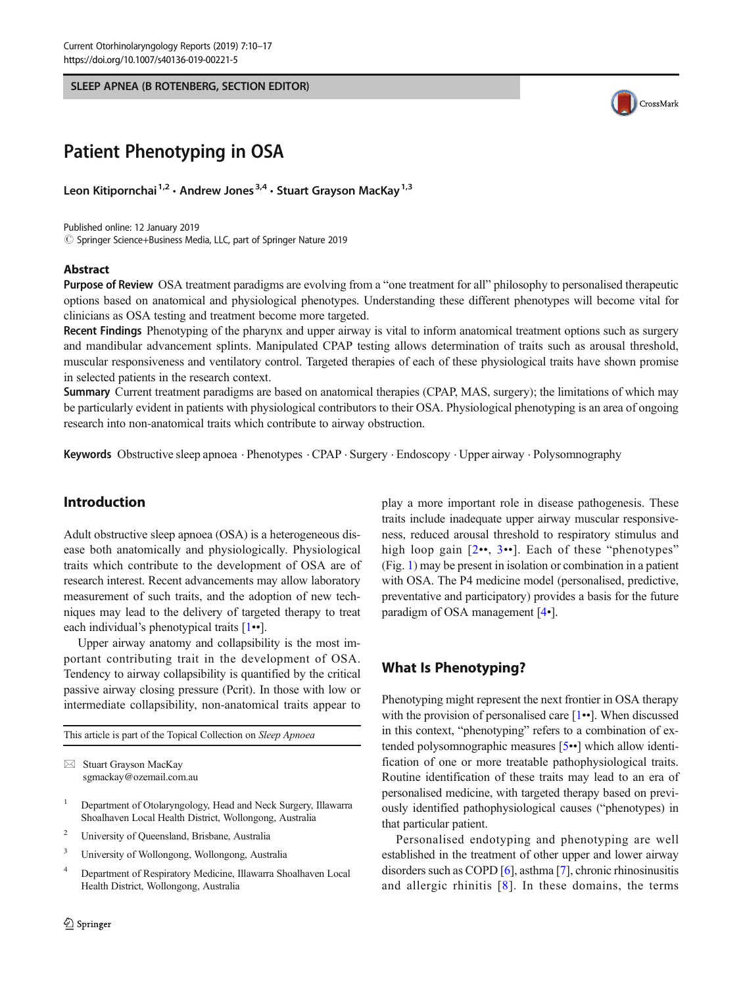SLEEP APNEA (B ROTENBERG, SECTION EDITOR)



# Patient Phenotyping in OSA

Leon Kitipornchai<sup>1,2</sup> · Andrew Jones<sup>3,4</sup> · Stuart Grayson MacKay<sup>1,3</sup>

Published online: 12 January 2019 © Springer Science+Business Media, LLC, part of Springer Nature 2019

#### Abstract

Purpose of Review OSA treatment paradigms are evolving from a "one treatment for all" philosophy to personalised therapeutic options based on anatomical and physiological phenotypes. Understanding these different phenotypes will become vital for clinicians as OSA testing and treatment become more targeted.

Recent Findings Phenotyping of the pharynx and upper airway is vital to inform anatomical treatment options such as surgery and mandibular advancement splints. Manipulated CPAP testing allows determination of traits such as arousal threshold, muscular responsiveness and ventilatory control. Targeted therapies of each of these physiological traits have shown promise in selected patients in the research context.

Summary Current treatment paradigms are based on anatomical therapies (CPAP, MAS, surgery); the limitations of which may be particularly evident in patients with physiological contributors to their OSA. Physiological phenotyping is an area of ongoing research into non-anatomical traits which contribute to airway obstruction.

Keywords Obstructive sleep apnoea . Phenotypes . CPAP . Surgery . Endoscopy . Upper airway . Polysomnography

# Introduction

Adult obstructive sleep apnoea (OSA) is a heterogeneous disease both anatomically and physiologically. Physiological traits which contribute to the development of OSA are of research interest. Recent advancements may allow laboratory measurement of such traits, and the adoption of new techniques may lead to the delivery of targeted therapy to treat each individual's phenotypical traits [\[1](#page-5-0)••].

Upper airway anatomy and collapsibility is the most important contributing trait in the development of OSA. Tendency to airway collapsibility is quantified by the critical passive airway closing pressure (Pcrit). In those with low or intermediate collapsibility, non-anatomical traits appear to

This article is part of the Topical Collection on Sleep Apnoea

- <sup>1</sup> Department of Otolaryngology, Head and Neck Surgery, Illawarra Shoalhaven Local Health District, Wollongong, Australia
- <sup>2</sup> University of Queensland, Brisbane, Australia
- <sup>3</sup> University of Wollongong, Wollongong, Australia
- <sup>4</sup> Department of Respiratory Medicine, Illawarra Shoalhaven Local Health District, Wollongong, Australia

play a more important role in disease pathogenesis. These traits include inadequate upper airway muscular responsiveness, reduced arousal threshold to respiratory stimulus and high loop gain [[2](#page-5-0)••, [3](#page-5-0)••]. Each of these "phenotypes" (Fig. [1\)](#page-1-0) may be present in isolation or combination in a patient with OSA. The P4 medicine model (personalised, predictive, preventative and participatory) provides a basis for the future paradigm of OSA management [[4](#page-5-0)•].

## What Is Phenotyping?

Phenotyping might represent the next frontier in OSA therapy with the provision of personalised care  $[1\bullet]$  $[1\bullet]$  $[1\bullet]$ . When discussed in this context, "phenotyping" refers to a combination of extended polysomnographic measures [\[5](#page-5-0)••] which allow identification of one or more treatable pathophysiological traits. Routine identification of these traits may lead to an era of personalised medicine, with targeted therapy based on previously identified pathophysiological causes ("phenotypes) in that particular patient.

Personalised endotyping and phenotyping are well established in the treatment of other upper and lower airway disorders such as COPD [\[6](#page-5-0)], asthma [\[7\]](#page-5-0), chronic rhinosinusitis and allergic rhinitis [[8](#page-5-0)]. In these domains, the terms

 $\boxtimes$  Stuart Grayson MacKay [sgmackay@ozemail.com.au](mailto:sgmackay@ozemail.com.au)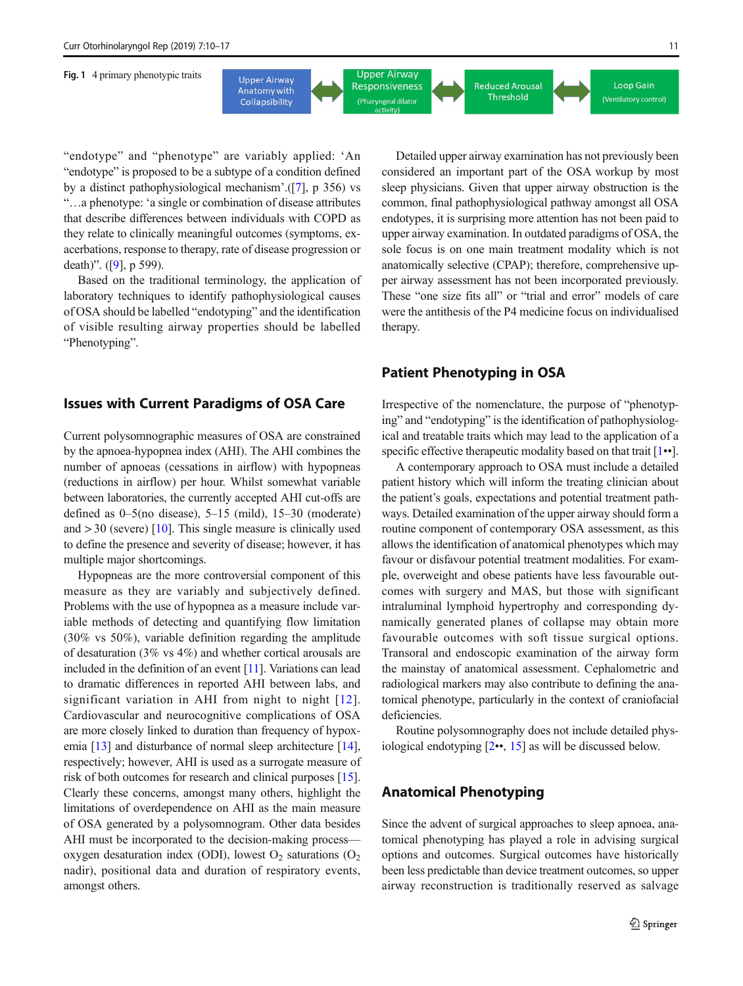<span id="page-1-0"></span>Fig. 1 4 primary phenotypic traits



"endotype" and "phenotype" are variably applied: 'An "endotype" is proposed to be a subtype of a condition defined by a distinct pathophysiological mechanism'.([[7\]](#page-5-0), p 356) vs "…a phenotype: 'a single or combination of disease attributes that describe differences between individuals with COPD as they relate to clinically meaningful outcomes (symptoms, exacerbations, response to therapy, rate of disease progression or death)". ([[9\]](#page-5-0), p 599).

Based on the traditional terminology, the application of laboratory techniques to identify pathophysiological causes of OSA should be labelled "endotyping" and the identification of visible resulting airway properties should be labelled "Phenotyping".

## Issues with Current Paradigms of OSA Care

Current polysomnographic measures of OSA are constrained by the apnoea-hypopnea index (AHI). The AHI combines the number of apnoeas (cessations in airflow) with hypopneas (reductions in airflow) per hour. Whilst somewhat variable between laboratories, the currently accepted AHI cut-offs are defined as 0–5(no disease), 5–15 (mild), 15–30 (moderate) and  $>$  30 (severe) [[10\]](#page-5-0). This single measure is clinically used to define the presence and severity of disease; however, it has multiple major shortcomings.

Hypopneas are the more controversial component of this measure as they are variably and subjectively defined. Problems with the use of hypopnea as a measure include variable methods of detecting and quantifying flow limitation (30% vs 50%), variable definition regarding the amplitude of desaturation (3% vs 4%) and whether cortical arousals are included in the definition of an event [[11\]](#page-5-0). Variations can lead to dramatic differences in reported AHI between labs, and significant variation in AHI from night to night [[12](#page-5-0)]. Cardiovascular and neurocognitive complications of OSA are more closely linked to duration than frequency of hypoxemia [\[13\]](#page-5-0) and disturbance of normal sleep architecture [[14\]](#page-5-0), respectively; however, AHI is used as a surrogate measure of risk of both outcomes for research and clinical purposes [[15\]](#page-5-0). Clearly these concerns, amongst many others, highlight the limitations of overdependence on AHI as the main measure of OSA generated by a polysomnogram. Other data besides AHI must be incorporated to the decision-making process oxygen desaturation index (ODI), lowest  $O_2$  saturations ( $O_2$ ) nadir), positional data and duration of respiratory events, amongst others.

Detailed upper airway examination has not previously been considered an important part of the OSA workup by most sleep physicians. Given that upper airway obstruction is the common, final pathophysiological pathway amongst all OSA endotypes, it is surprising more attention has not been paid to upper airway examination. In outdated paradigms of OSA, the sole focus is on one main treatment modality which is not anatomically selective (CPAP); therefore, comprehensive upper airway assessment has not been incorporated previously. These "one size fits all" or "trial and error" models of care were the antithesis of the P4 medicine focus on individualised therapy.

## Patient Phenotyping in OSA

Irrespective of the nomenclature, the purpose of "phenotyping" and "endotyping" is the identification of pathophysiological and treatable traits which may lead to the application of a specific effective therapeutic modality based on that trait  $[1\bullet \bullet]$  $[1\bullet \bullet]$ .

A contemporary approach to OSA must include a detailed patient history which will inform the treating clinician about the patient's goals, expectations and potential treatment pathways. Detailed examination of the upper airway should form a routine component of contemporary OSA assessment, as this allows the identification of anatomical phenotypes which may favour or disfavour potential treatment modalities. For example, overweight and obese patients have less favourable outcomes with surgery and MAS, but those with significant intraluminal lymphoid hypertrophy and corresponding dynamically generated planes of collapse may obtain more favourable outcomes with soft tissue surgical options. Transoral and endoscopic examination of the airway form the mainstay of anatomical assessment. Cephalometric and radiological markers may also contribute to defining the anatomical phenotype, particularly in the context of craniofacial deficiencies.

Routine polysomnography does not include detailed physiological endotyping [\[2](#page-5-0)••, [15](#page-5-0)] as will be discussed below.

## Anatomical Phenotyping

Since the advent of surgical approaches to sleep apnoea, anatomical phenotyping has played a role in advising surgical options and outcomes. Surgical outcomes have historically been less predictable than device treatment outcomes, so upper airway reconstruction is traditionally reserved as salvage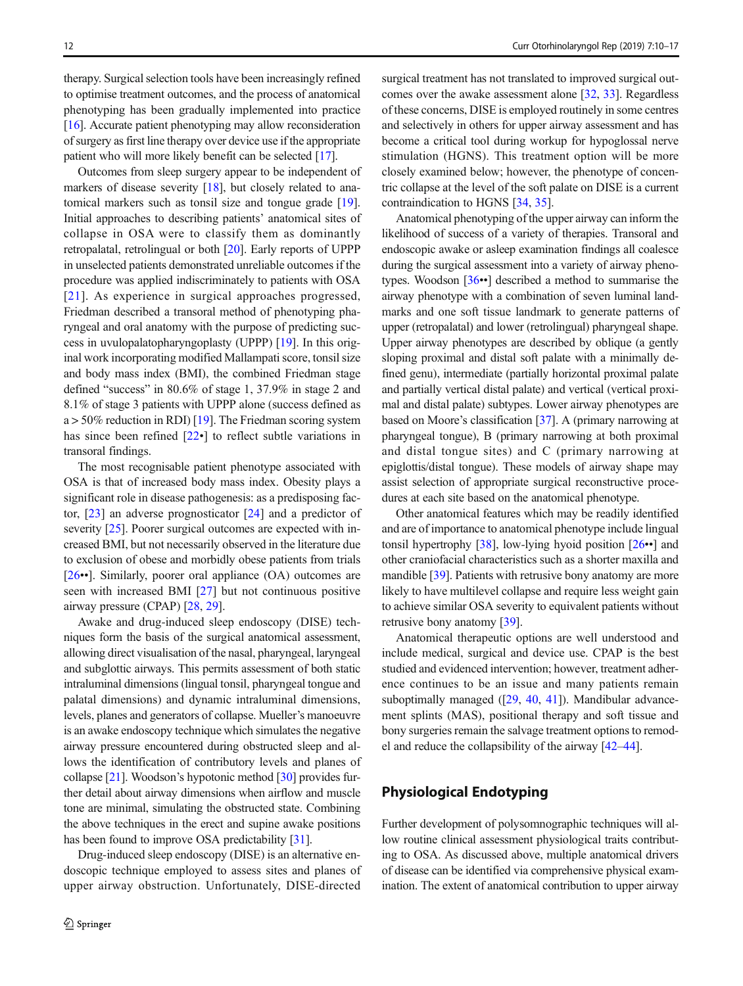therapy. Surgical selection tools have been increasingly refined to optimise treatment outcomes, and the process of anatomical phenotyping has been gradually implemented into practice [\[16\]](#page-5-0). Accurate patient phenotyping may allow reconsideration of surgery as first line therapy over device use if the appropriate patient who will more likely benefit can be selected [[17\]](#page-5-0).

Outcomes from sleep surgery appear to be independent of markers of disease severity [[18\]](#page-5-0), but closely related to anatomical markers such as tonsil size and tongue grade [[19](#page-6-0)]. Initial approaches to describing patients' anatomical sites of collapse in OSA were to classify them as dominantly retropalatal, retrolingual or both [[20](#page-6-0)]. Early reports of UPPP in unselected patients demonstrated unreliable outcomes if the procedure was applied indiscriminately to patients with OSA [[21](#page-6-0)]. As experience in surgical approaches progressed, Friedman described a transoral method of phenotyping pharyngeal and oral anatomy with the purpose of predicting success in uvulopalatopharyngoplasty (UPPP) [\[19](#page-6-0)]. In this original work incorporating modified Mallampati score, tonsil size and body mass index (BMI), the combined Friedman stage defined "success" in 80.6% of stage 1, 37.9% in stage 2 and 8.1% of stage 3 patients with UPPP alone (success defined as  $a > 50\%$  reduction in RDI) [\[19\]](#page-6-0). The Friedman scoring system has since been refined  $[22 \cdot]$  $[22 \cdot]$  $[22 \cdot]$  to reflect subtle variations in transoral findings.

The most recognisable patient phenotype associated with OSA is that of increased body mass index. Obesity plays a significant role in disease pathogenesis: as a predisposing factor, [\[23\]](#page-6-0) an adverse prognosticator [[24\]](#page-6-0) and a predictor of severity [\[25](#page-6-0)]. Poorer surgical outcomes are expected with increased BMI, but not necessarily observed in the literature due to exclusion of obese and morbidly obese patients from trials [\[26](#page-6-0)••]. Similarly, poorer oral appliance (OA) outcomes are seen with increased BMI [\[27](#page-6-0)] but not continuous positive airway pressure (CPAP) [\[28](#page-6-0), [29](#page-6-0)].

Awake and drug-induced sleep endoscopy (DISE) techniques form the basis of the surgical anatomical assessment, allowing direct visualisation of the nasal, pharyngeal, laryngeal and subglottic airways. This permits assessment of both static intraluminal dimensions (lingual tonsil, pharyngeal tongue and palatal dimensions) and dynamic intraluminal dimensions, levels, planes and generators of collapse. Mueller's manoeuvre is an awake endoscopy technique which simulates the negative airway pressure encountered during obstructed sleep and allows the identification of contributory levels and planes of collapse [[21](#page-6-0)]. Woodson's hypotonic method [[30](#page-6-0)] provides further detail about airway dimensions when airflow and muscle tone are minimal, simulating the obstructed state. Combining the above techniques in the erect and supine awake positions has been found to improve OSA predictability [\[31](#page-6-0)].

Drug-induced sleep endoscopy (DISE) is an alternative endoscopic technique employed to assess sites and planes of upper airway obstruction. Unfortunately, DISE-directed surgical treatment has not translated to improved surgical outcomes over the awake assessment alone [[32](#page-6-0), [33](#page-6-0)]. Regardless of these concerns, DISE is employed routinely in some centres and selectively in others for upper airway assessment and has become a critical tool during workup for hypoglossal nerve stimulation (HGNS). This treatment option will be more closely examined below; however, the phenotype of concentric collapse at the level of the soft palate on DISE is a current contraindication to HGNS [\[34,](#page-6-0) [35\]](#page-6-0).

Anatomical phenotyping of the upper airway can inform the likelihood of success of a variety of therapies. Transoral and endoscopic awake or asleep examination findings all coalesce during the surgical assessment into a variety of airway phenotypes. Woodson [[36](#page-6-0)••] described a method to summarise the airway phenotype with a combination of seven luminal landmarks and one soft tissue landmark to generate patterns of upper (retropalatal) and lower (retrolingual) pharyngeal shape. Upper airway phenotypes are described by oblique (a gently sloping proximal and distal soft palate with a minimally defined genu), intermediate (partially horizontal proximal palate and partially vertical distal palate) and vertical (vertical proximal and distal palate) subtypes. Lower airway phenotypes are based on Moore's classification [[37](#page-6-0)]. A (primary narrowing at pharyngeal tongue), B (primary narrowing at both proximal and distal tongue sites) and C (primary narrowing at epiglottis/distal tongue). These models of airway shape may assist selection of appropriate surgical reconstructive procedures at each site based on the anatomical phenotype.

Other anatomical features which may be readily identified and are of importance to anatomical phenotype include lingual tonsil hypertrophy [[38](#page-6-0)], low-lying hyoid position [\[26](#page-6-0)••] and other craniofacial characteristics such as a shorter maxilla and mandible [[39](#page-6-0)]. Patients with retrusive bony anatomy are more likely to have multilevel collapse and require less weight gain to achieve similar OSA severity to equivalent patients without retrusive bony anatomy [[39\]](#page-6-0).

Anatomical therapeutic options are well understood and include medical, surgical and device use. CPAP is the best studied and evidenced intervention; however, treatment adherence continues to be an issue and many patients remain suboptimally managed ([[29,](#page-6-0) [40,](#page-6-0) [41\]](#page-6-0)). Mandibular advancement splints (MAS), positional therapy and soft tissue and bony surgeries remain the salvage treatment options to remodel and reduce the collapsibility of the airway [\[42](#page-6-0)–[44\]](#page-6-0).

## Physiological Endotyping

Further development of polysomnographic techniques will allow routine clinical assessment physiological traits contributing to OSA. As discussed above, multiple anatomical drivers of disease can be identified via comprehensive physical examination. The extent of anatomical contribution to upper airway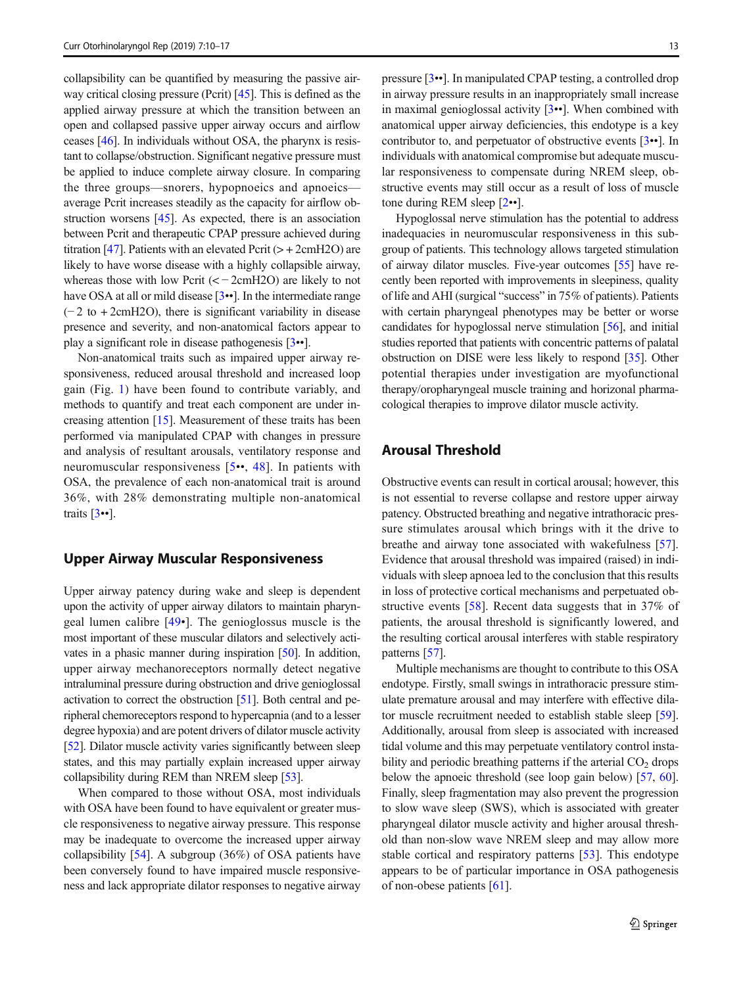collapsibility can be quantified by measuring the passive airway critical closing pressure (Pcrit) [[45\]](#page-6-0). This is defined as the applied airway pressure at which the transition between an open and collapsed passive upper airway occurs and airflow ceases [\[46\]](#page-6-0). In individuals without OSA, the pharynx is resistant to collapse/obstruction. Significant negative pressure must be applied to induce complete airway closure. In comparing the three groups—snorers, hypopnoeics and apnoeics average Pcrit increases steadily as the capacity for airflow obstruction worsens [[45\]](#page-6-0). As expected, there is an association between Pcrit and therapeutic CPAP pressure achieved during titration [\[47\]](#page-6-0). Patients with an elevated Pcrit  $(> + 2$ cmH2O) are likely to have worse disease with a highly collapsible airway, whereas those with low Pcrit  $(< -2$ cmH2O) are likely to not have OSA at all or mild disease [[3](#page-5-0)••]. In the intermediate range  $(-2$  to +2cmH2O), there is significant variability in disease presence and severity, and non-anatomical factors appear to play a significant role in disease pathogenesis [\[3](#page-5-0)••].

Non-anatomical traits such as impaired upper airway responsiveness, reduced arousal threshold and increased loop gain (Fig. [1](#page-1-0)) have been found to contribute variably, and methods to quantify and treat each component are under increasing attention [[15](#page-5-0)]. Measurement of these traits has been performed via manipulated CPAP with changes in pressure and analysis of resultant arousals, ventilatory response and neuromuscular responsiveness [[5](#page-5-0)••, [48](#page-6-0)]. In patients with OSA, the prevalence of each non-anatomical trait is around 36%, with 28% demonstrating multiple non-anatomical traits  $\lceil 3 \cdot \cdot \rceil$  $\lceil 3 \cdot \cdot \rceil$  $\lceil 3 \cdot \cdot \rceil$ .

#### Upper Airway Muscular Responsiveness

Upper airway patency during wake and sleep is dependent upon the activity of upper airway dilators to maintain pharyngeal lumen calibre [\[49](#page-6-0)•]. The genioglossus muscle is the most important of these muscular dilators and selectively activates in a phasic manner during inspiration [\[50\]](#page-6-0). In addition, upper airway mechanoreceptors normally detect negative intraluminal pressure during obstruction and drive genioglossal activation to correct the obstruction [[51](#page-6-0)]. Both central and peripheral chemoreceptors respond to hypercapnia (and to a lesser degree hypoxia) and are potent drivers of dilator muscle activity [\[52\]](#page-6-0). Dilator muscle activity varies significantly between sleep states, and this may partially explain increased upper airway collapsibility during REM than NREM sleep [\[53\]](#page-6-0).

When compared to those without OSA, most individuals with OSA have been found to have equivalent or greater muscle responsiveness to negative airway pressure. This response may be inadequate to overcome the increased upper airway collapsibility [\[54](#page-6-0)]. A subgroup (36%) of OSA patients have been conversely found to have impaired muscle responsiveness and lack appropriate dilator responses to negative airway

pressure [[3](#page-5-0)••]. In manipulated CPAP testing, a controlled drop in airway pressure results in an inappropriately small increase in maximal genioglossal activity [\[3](#page-5-0)••]. When combined with anatomical upper airway deficiencies, this endotype is a key contributor to, and perpetuator of obstructive events [\[3](#page-5-0)••]. In individuals with anatomical compromise but adequate muscular responsiveness to compensate during NREM sleep, obstructive events may still occur as a result of loss of muscle tone during REM sleep [\[2](#page-5-0)••].

Hypoglossal nerve stimulation has the potential to address inadequacies in neuromuscular responsiveness in this subgroup of patients. This technology allows targeted stimulation of airway dilator muscles. Five-year outcomes [[55](#page-7-0)] have recently been reported with improvements in sleepiness, quality of life and AHI (surgical "success" in 75% of patients). Patients with certain pharyngeal phenotypes may be better or worse candidates for hypoglossal nerve stimulation [[56](#page-7-0)], and initial studies reported that patients with concentric patterns of palatal obstruction on DISE were less likely to respond [[35](#page-6-0)]. Other potential therapies under investigation are myofunctional therapy/oropharyngeal muscle training and horizonal pharmacological therapies to improve dilator muscle activity.

## Arousal Threshold

Obstructive events can result in cortical arousal; however, this is not essential to reverse collapse and restore upper airway patency. Obstructed breathing and negative intrathoracic pressure stimulates arousal which brings with it the drive to breathe and airway tone associated with wakefulness [[57\]](#page-7-0). Evidence that arousal threshold was impaired (raised) in individuals with sleep apnoea led to the conclusion that this results in loss of protective cortical mechanisms and perpetuated obstructive events [[58\]](#page-7-0). Recent data suggests that in 37% of patients, the arousal threshold is significantly lowered, and the resulting cortical arousal interferes with stable respiratory patterns [\[57](#page-7-0)].

Multiple mechanisms are thought to contribute to this OSA endotype. Firstly, small swings in intrathoracic pressure stimulate premature arousal and may interfere with effective dilator muscle recruitment needed to establish stable sleep [[59\]](#page-7-0). Additionally, arousal from sleep is associated with increased tidal volume and this may perpetuate ventilatory control instability and periodic breathing patterns if the arterial  $CO<sub>2</sub>$  drops below the apnoeic threshold (see loop gain below) [\[57](#page-7-0), [60\]](#page-7-0). Finally, sleep fragmentation may also prevent the progression to slow wave sleep (SWS), which is associated with greater pharyngeal dilator muscle activity and higher arousal threshold than non-slow wave NREM sleep and may allow more stable cortical and respiratory patterns [[53](#page-6-0)]. This endotype appears to be of particular importance in OSA pathogenesis of non-obese patients [\[61\]](#page-7-0).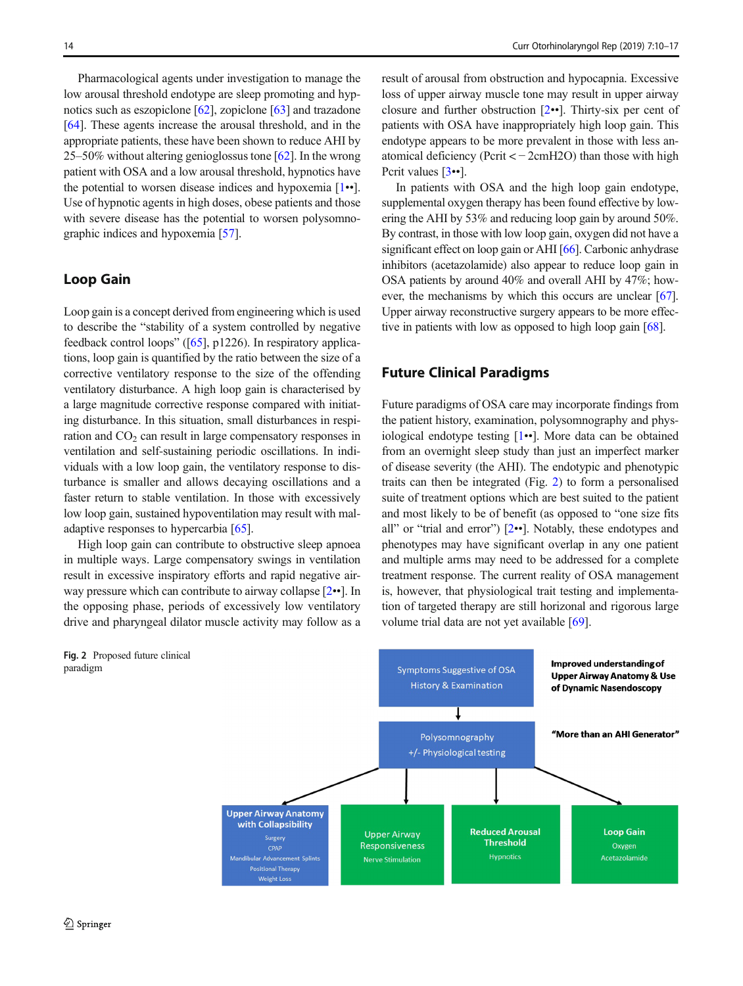Pharmacological agents under investigation to manage the low arousal threshold endotype are sleep promoting and hypnotics such as eszopiclone [[62](#page-7-0)], zopiclone [[63](#page-7-0)] and trazadone [\[64\]](#page-7-0). These agents increase the arousal threshold, and in the appropriate patients, these have been shown to reduce AHI by 25–50% without altering genioglossus tone [[62\]](#page-7-0). In the wrong patient with OSA and a low arousal threshold, hypnotics have the potential to worsen disease indices and hypoxemia [\[1](#page-5-0)••]. Use of hypnotic agents in high doses, obese patients and those with severe disease has the potential to worsen polysomnographic indices and hypoxemia [\[57](#page-7-0)].

## Loop Gain

Loop gain is a concept derived from engineering which is used to describe the "stability of a system controlled by negative feedback control loops" ([[65](#page-7-0)], p1226). In respiratory applications, loop gain is quantified by the ratio between the size of a corrective ventilatory response to the size of the offending ventilatory disturbance. A high loop gain is characterised by a large magnitude corrective response compared with initiating disturbance. In this situation, small disturbances in respiration and  $CO<sub>2</sub>$  can result in large compensatory responses in ventilation and self-sustaining periodic oscillations. In individuals with a low loop gain, the ventilatory response to disturbance is smaller and allows decaying oscillations and a faster return to stable ventilation. In those with excessively low loop gain, sustained hypoventilation may result with maladaptive responses to hypercarbia [\[65\]](#page-7-0).

High loop gain can contribute to obstructive sleep apnoea in multiple ways. Large compensatory swings in ventilation result in excessive inspiratory efforts and rapid negative airway pressure which can contribute to airway collapse [[2](#page-5-0)••]. In the opposing phase, periods of excessively low ventilatory drive and pharyngeal dilator muscle activity may follow as a result of arousal from obstruction and hypocapnia. Excessive loss of upper airway muscle tone may result in upper airway closure and further obstruction [[2](#page-5-0)••]. Thirty-six per cent of patients with OSA have inappropriately high loop gain. This endotype appears to be more prevalent in those with less anatomical deficiency (Pcrit < − 2cmH2O) than those with high Pcrit values [\[3](#page-5-0)••].

In patients with OSA and the high loop gain endotype, supplemental oxygen therapy has been found effective by lowering the AHI by 53% and reducing loop gain by around 50%. By contrast, in those with low loop gain, oxygen did not have a significant effect on loop gain or AHI [[66](#page-7-0)]. Carbonic anhydrase inhibitors (acetazolamide) also appear to reduce loop gain in OSA patients by around 40% and overall AHI by 47%; however, the mechanisms by which this occurs are unclear [\[67\]](#page-7-0). Upper airway reconstructive surgery appears to be more effective in patients with low as opposed to high loop gain [[68](#page-7-0)].

#### Future Clinical Paradigms

Future paradigms of OSA care may incorporate findings from the patient history, examination, polysomnography and physiological endotype testing [\[1](#page-5-0)••]. More data can be obtained from an overnight sleep study than just an imperfect marker of disease severity (the AHI). The endotypic and phenotypic traits can then be integrated (Fig. 2) to form a personalised suite of treatment options which are best suited to the patient and most likely to be of benefit (as opposed to "one size fits all" or "trial and error") [\[2](#page-5-0)••]. Notably, these endotypes and phenotypes may have significant overlap in any one patient and multiple arms may need to be addressed for a complete treatment response. The current reality of OSA management is, however, that physiological trait testing and implementation of targeted therapy are still horizonal and rigorous large volume trial data are not yet available [[69\]](#page-7-0).



paradigm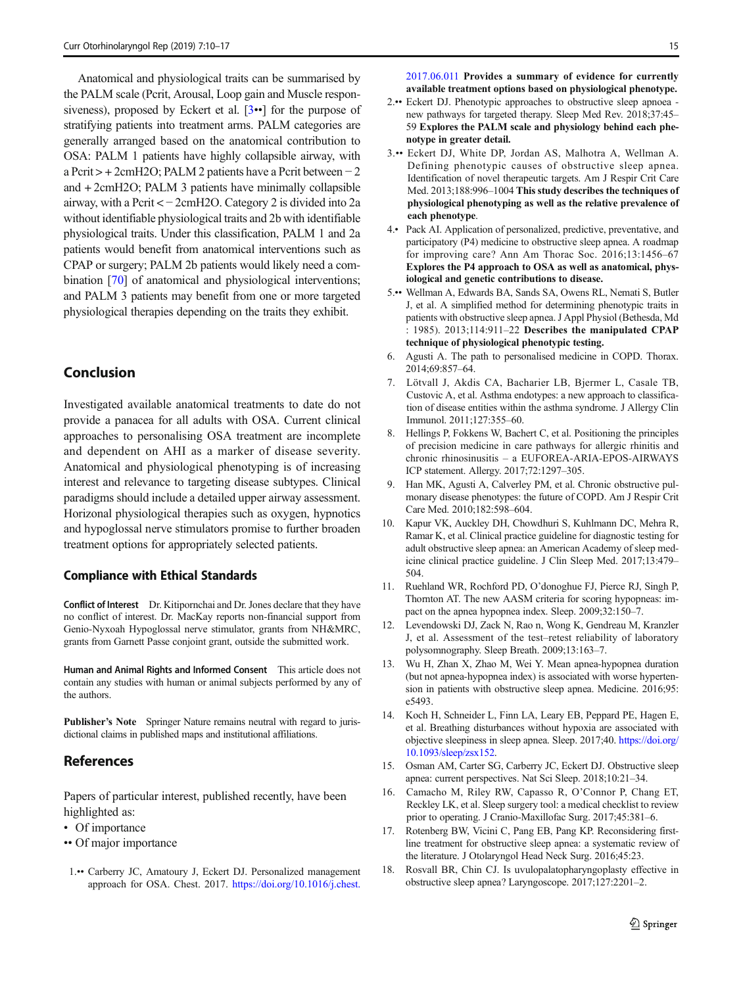<span id="page-5-0"></span>Anatomical and physiological traits can be summarised by the PALM scale (Pcrit, Arousal, Loop gain and Muscle responsiveness), proposed by Eckert et al. [3••] for the purpose of stratifying patients into treatment arms. PALM categories are generally arranged based on the anatomical contribution to OSA: PALM 1 patients have highly collapsible airway, with a Pcrit > + 2cmH2O; PALM 2 patients have a Pcrit between − 2 and + 2cmH2O; PALM 3 patients have minimally collapsible airway, with a Pcrit < − 2cmH2O. Category 2 is divided into 2a without identifiable physiological traits and 2b with identifiable physiological traits. Under this classification, PALM 1 and 2a patients would benefit from anatomical interventions such as CPAP or surgery; PALM 2b patients would likely need a combination [\[70](#page-7-0)] of anatomical and physiological interventions; and PALM 3 patients may benefit from one or more targeted physiological therapies depending on the traits they exhibit.

# Conclusion

Investigated available anatomical treatments to date do not provide a panacea for all adults with OSA. Current clinical approaches to personalising OSA treatment are incomplete and dependent on AHI as a marker of disease severity. Anatomical and physiological phenotyping is of increasing interest and relevance to targeting disease subtypes. Clinical paradigms should include a detailed upper airway assessment. Horizonal physiological therapies such as oxygen, hypnotics and hypoglossal nerve stimulators promise to further broaden treatment options for appropriately selected patients.

#### Compliance with Ethical Standards

Conflict of Interest Dr. Kitipornchai and Dr. Jones declare that they have no conflict of interest. Dr. MacKay reports non-financial support from Genio-Nyxoah Hypoglossal nerve stimulator, grants from NH&MRC, grants from Garnett Passe conjoint grant, outside the submitted work.

Human and Animal Rights and Informed Consent This article does not contain any studies with human or animal subjects performed by any of the authors.

Publisher's Note Springer Nature remains neutral with regard to jurisdictional claims in published maps and institutional affiliations.

#### References

Papers of particular interest, published recently, have been highlighted as:

- Of importance
- •• Of major importance
- 1.•• Carberry JC, Amatoury J, Eckert DJ. Personalized management approach for OSA. Chest. 2017. [https://doi.org/10.1016/j.chest.](https://doi.org/10.1016/j.chest.2017.06.011)

[2017.06.011](https://doi.org/10.1016/j.chest.2017.06.011) Provides a summary of evidence for currently available treatment options based on physiological phenotype.

- 2.•• Eckert DJ. Phenotypic approaches to obstructive sleep apnoea new pathways for targeted therapy. Sleep Med Rev. 2018;37:45– 59 Explores the PALM scale and physiology behind each phenotype in greater detail.
- 3.•• Eckert DJ, White DP, Jordan AS, Malhotra A, Wellman A. Defining phenotypic causes of obstructive sleep apnea. Identification of novel therapeutic targets. Am J Respir Crit Care Med. 2013;188:996–1004 This study describes the techniques of physiological phenotyping as well as the relative prevalence of each phenotype.
- 4.• Pack AI. Application of personalized, predictive, preventative, and participatory (P4) medicine to obstructive sleep apnea. A roadmap for improving care? Ann Am Thorac Soc. 2016;13:1456–67 Explores the P4 approach to OSA as well as anatomical, physiological and genetic contributions to disease.
- 5.•• Wellman A, Edwards BA, Sands SA, Owens RL, Nemati S, Butler J, et al. A simplified method for determining phenotypic traits in patients with obstructive sleep apnea. J Appl Physiol (Bethesda, Md : 1985). 2013;114:911–22 Describes the manipulated CPAP technique of physiological phenotypic testing.
- 6. Agusti A. The path to personalised medicine in COPD. Thorax. 2014;69:857–64.
- 7. Lötvall J, Akdis CA, Bacharier LB, Bjermer L, Casale TB, Custovic A, et al. Asthma endotypes: a new approach to classification of disease entities within the asthma syndrome. J Allergy Clin Immunol. 2011;127:355–60.
- 8. Hellings P, Fokkens W, Bachert C, et al. Positioning the principles of precision medicine in care pathways for allergic rhinitis and chronic rhinosinusitis – a EUFOREA-ARIA-EPOS-AIRWAYS ICP statement. Allergy. 2017;72:1297–305.
- 9. Han MK, Agusti A, Calverley PM, et al. Chronic obstructive pulmonary disease phenotypes: the future of COPD. Am J Respir Crit Care Med. 2010;182:598–604.
- 10. Kapur VK, Auckley DH, Chowdhuri S, Kuhlmann DC, Mehra R, Ramar K, et al. Clinical practice guideline for diagnostic testing for adult obstructive sleep apnea: an American Academy of sleep medicine clinical practice guideline. J Clin Sleep Med. 2017;13:479– 504.
- 11. Ruehland WR, Rochford PD, O'donoghue FJ, Pierce RJ, Singh P, Thornton AT. The new AASM criteria for scoring hypopneas: impact on the apnea hypopnea index. Sleep. 2009;32:150–7.
- 12. Levendowski DJ, Zack N, Rao n, Wong K, Gendreau M, Kranzler J, et al. Assessment of the test–retest reliability of laboratory polysomnography. Sleep Breath. 2009;13:163–7.
- 13. Wu H, Zhan X, Zhao M, Wei Y. Mean apnea-hypopnea duration (but not apnea-hypopnea index) is associated with worse hypertension in patients with obstructive sleep apnea. Medicine. 2016;95: e5493.
- 14. Koch H, Schneider L, Finn LA, Leary EB, Peppard PE, Hagen E, et al. Breathing disturbances without hypoxia are associated with objective sleepiness in sleep apnea. Sleep. 2017;40. [https://doi.org/](https://doi.org/10.1093/sleep/zsx152) [10.1093/sleep/zsx152](https://doi.org/10.1093/sleep/zsx152).
- 15. Osman AM, Carter SG, Carberry JC, Eckert DJ. Obstructive sleep apnea: current perspectives. Nat Sci Sleep. 2018;10:21–34.
- 16. Camacho M, Riley RW, Capasso R, O'Connor P, Chang ET, Reckley LK, et al. Sleep surgery tool: a medical checklist to review prior to operating. J Cranio-Maxillofac Surg. 2017;45:381–6.
- 17. Rotenberg BW, Vicini C, Pang EB, Pang KP. Reconsidering firstline treatment for obstructive sleep apnea: a systematic review of the literature. J Otolaryngol Head Neck Surg. 2016;45:23.
- 18. Rosvall BR, Chin CJ. Is uvulopalatopharyngoplasty effective in obstructive sleep apnea? Laryngoscope. 2017;127:2201–2.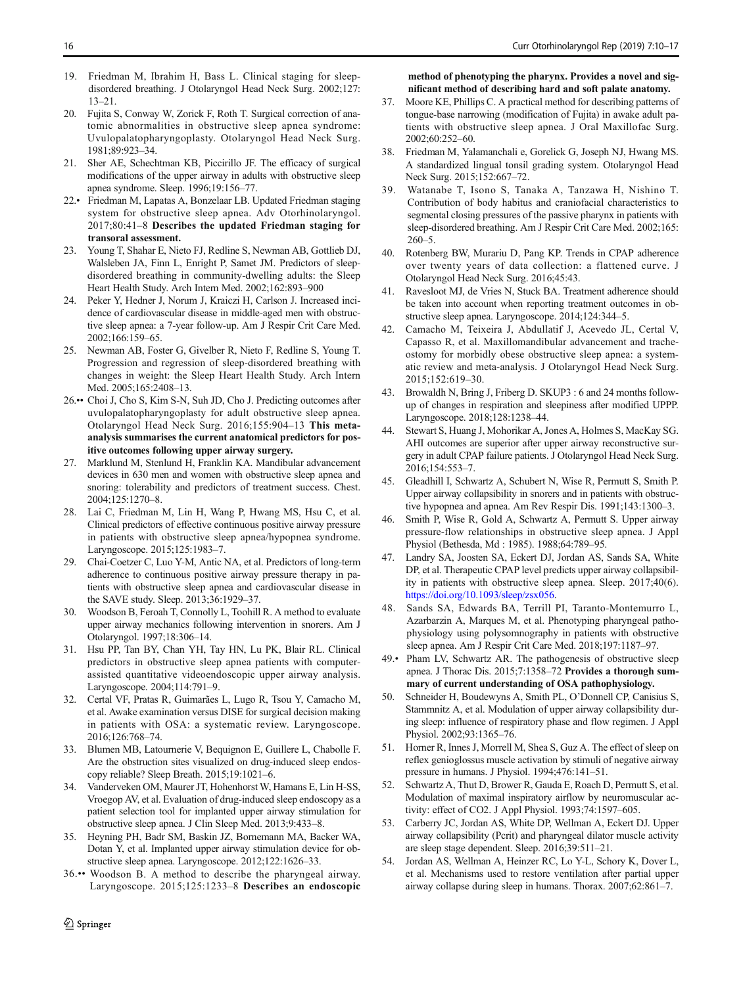- <span id="page-6-0"></span>19. Friedman M, Ibrahim H, Bass L. Clinical staging for sleepdisordered breathing. J Otolaryngol Head Neck Surg. 2002;127: 13–21.
- 20. Fujita S, Conway W, Zorick F, Roth T. Surgical correction of anatomic abnormalities in obstructive sleep apnea syndrome: Uvulopalatopharyngoplasty. Otolaryngol Head Neck Surg. 1981;89:923–34.
- 21. Sher AE, Schechtman KB, Piccirillo JF. The efficacy of surgical modifications of the upper airway in adults with obstructive sleep apnea syndrome. Sleep. 1996;19:156–77.
- 22.• Friedman M, Lapatas A, Bonzelaar LB. Updated Friedman staging system for obstructive sleep apnea. Adv Otorhinolaryngol. 2017;80:41–8 Describes the updated Friedman staging for transoral assessment.
- 23. Young T, Shahar E, Nieto FJ, Redline S, Newman AB, Gottlieb DJ, Walsleben JA, Finn L, Enright P, Samet JM. Predictors of sleepdisordered breathing in community-dwelling adults: the Sleep Heart Health Study. Arch Intern Med. 2002;162:893–900
- 24. Peker Y, Hedner J, Norum J, Kraiczi H, Carlson J. Increased incidence of cardiovascular disease in middle-aged men with obstructive sleep apnea: a 7-year follow-up. Am J Respir Crit Care Med. 2002;166:159–65.
- 25. Newman AB, Foster G, Givelber R, Nieto F, Redline S, Young T. Progression and regression of sleep-disordered breathing with changes in weight: the Sleep Heart Health Study. Arch Intern Med. 2005;165:2408–13.
- 26.•• Choi J, Cho S, Kim S-N, Suh JD, Cho J. Predicting outcomes after uvulopalatopharyngoplasty for adult obstructive sleep apnea. Otolaryngol Head Neck Surg. 2016;155:904–13 This metaanalysis summarises the current anatomical predictors for positive outcomes following upper airway surgery.
- 27. Marklund M, Stenlund H, Franklin KA. Mandibular advancement devices in 630 men and women with obstructive sleep apnea and snoring: tolerability and predictors of treatment success. Chest. 2004;125:1270–8.
- 28. Lai C, Friedman M, Lin H, Wang P, Hwang MS, Hsu C, et al. Clinical predictors of effective continuous positive airway pressure in patients with obstructive sleep apnea/hypopnea syndrome. Laryngoscope. 2015;125:1983–7.
- 29. Chai-Coetzer C, Luo Y-M, Antic NA, et al. Predictors of long-term adherence to continuous positive airway pressure therapy in patients with obstructive sleep apnea and cardiovascular disease in the SAVE study. Sleep. 2013;36:1929–37.
- 30. Woodson B, Feroah T, Connolly L, Toohill R. A method to evaluate upper airway mechanics following intervention in snorers. Am J Otolaryngol. 1997;18:306–14.
- 31. Hsu PP, Tan BY, Chan YH, Tay HN, Lu PK, Blair RL. Clinical predictors in obstructive sleep apnea patients with computerassisted quantitative videoendoscopic upper airway analysis. Laryngoscope. 2004;114:791–9.
- 32. Certal VF, Pratas R, Guimarães L, Lugo R, Tsou Y, Camacho M, et al. Awake examination versus DISE for surgical decision making in patients with OSA: a systematic review. Laryngoscope. 2016;126:768–74.
- 33. Blumen MB, Latournerie V, Bequignon E, Guillere L, Chabolle F. Are the obstruction sites visualized on drug-induced sleep endoscopy reliable? Sleep Breath. 2015;19:1021–6.
- 34. Vanderveken OM, Maurer JT, Hohenhorst W, Hamans E, Lin H-SS, Vroegop AV, et al. Evaluation of drug-induced sleep endoscopy as a patient selection tool for implanted upper airway stimulation for obstructive sleep apnea. J Clin Sleep Med. 2013;9:433–8.
- 35. Heyning PH, Badr SM, Baskin JZ, Bornemann MA, Backer WA, Dotan Y, et al. Implanted upper airway stimulation device for obstructive sleep apnea. Laryngoscope. 2012;122:1626–33.
- 36.•• Woodson B. A method to describe the pharyngeal airway. Laryngoscope. 2015;125:1233–8 Describes an endoscopic

 $\hat{Z}$  Springer

method of phenotyping the pharynx. Provides a novel and significant method of describing hard and soft palate anatomy.

- 37. Moore KE, Phillips C. A practical method for describing patterns of tongue-base narrowing (modification of Fujita) in awake adult patients with obstructive sleep apnea. J Oral Maxillofac Surg. 2002;60:252–60.
- 38. Friedman M, Yalamanchali e, Gorelick G, Joseph NJ, Hwang MS. A standardized lingual tonsil grading system. Otolaryngol Head Neck Surg. 2015;152:667–72.
- 39. Watanabe T, Isono S, Tanaka A, Tanzawa H, Nishino T. Contribution of body habitus and craniofacial characteristics to segmental closing pressures of the passive pharynx in patients with sleep-disordered breathing. Am J Respir Crit Care Med. 2002;165: 260–5.
- 40. Rotenberg BW, Murariu D, Pang KP. Trends in CPAP adherence over twenty years of data collection: a flattened curve. J Otolaryngol Head Neck Surg. 2016;45:43.
- 41. Ravesloot MJ, de Vries N, Stuck BA. Treatment adherence should be taken into account when reporting treatment outcomes in obstructive sleep apnea. Laryngoscope. 2014;124:344–5.
- 42. Camacho M, Teixeira J, Abdullatif J, Acevedo JL, Certal V, Capasso R, et al. Maxillomandibular advancement and tracheostomy for morbidly obese obstructive sleep apnea: a systematic review and meta-analysis. J Otolaryngol Head Neck Surg. 2015;152:619–30.
- 43. Browaldh N, Bring J, Friberg D. SKUP3 : 6 and 24 months followup of changes in respiration and sleepiness after modified UPPP. Laryngoscope. 2018;128:1238–44.
- 44. Stewart S, Huang J, Mohorikar A, Jones A, Holmes S, MacKay SG. AHI outcomes are superior after upper airway reconstructive surgery in adult CPAP failure patients. J Otolaryngol Head Neck Surg. 2016;154:553–7.
- 45. Gleadhill I, Schwartz A, Schubert N, Wise R, Permutt S, Smith P. Upper airway collapsibility in snorers and in patients with obstructive hypopnea and apnea. Am Rev Respir Dis. 1991;143:1300–3.
- 46. Smith P, Wise R, Gold A, Schwartz A, Permutt S. Upper airway pressure-flow relationships in obstructive sleep apnea. J Appl Physiol (Bethesda, Md : 1985). 1988;64:789–95.
- 47. Landry SA, Joosten SA, Eckert DJ, Jordan AS, Sands SA, White DP, et al. Therapeutic CPAP level predicts upper airway collapsibility in patients with obstructive sleep apnea. Sleep. 2017;40(6). <https://doi.org/10.1093/sleep/zsx056>.
- 48. Sands SA, Edwards BA, Terrill PI, Taranto-Montemurro L, Azarbarzin A, Marques M, et al. Phenotyping pharyngeal pathophysiology using polysomnography in patients with obstructive sleep apnea. Am J Respir Crit Care Med. 2018;197:1187–97.
- 49.• Pham LV, Schwartz AR. The pathogenesis of obstructive sleep apnea. J Thorac Dis. 2015;7:1358–72 Provides a thorough summary of current understanding of OSA pathophysiology.
- 50. Schneider H, Boudewyns A, Smith PL, O'Donnell CP, Canisius S, Stammnitz A, et al. Modulation of upper airway collapsibility during sleep: influence of respiratory phase and flow regimen. J Appl Physiol. 2002;93:1365–76.
- 51. Horner R, Innes J, Morrell M, Shea S, Guz A. The effect of sleep on reflex genioglossus muscle activation by stimuli of negative airway pressure in humans. J Physiol. 1994;476:141–51.
- 52. Schwartz A, Thut D, Brower R, Gauda E, Roach D, Permutt S, et al. Modulation of maximal inspiratory airflow by neuromuscular activity: effect of CO2. J Appl Physiol. 1993;74:1597–605.
- 53. Carberry JC, Jordan AS, White DP, Wellman A, Eckert DJ. Upper airway collapsibility (Pcrit) and pharyngeal dilator muscle activity are sleep stage dependent. Sleep. 2016;39:511–21.
- 54. Jordan AS, Wellman A, Heinzer RC, Lo Y-L, Schory K, Dover L, et al. Mechanisms used to restore ventilation after partial upper airway collapse during sleep in humans. Thorax. 2007;62:861–7.